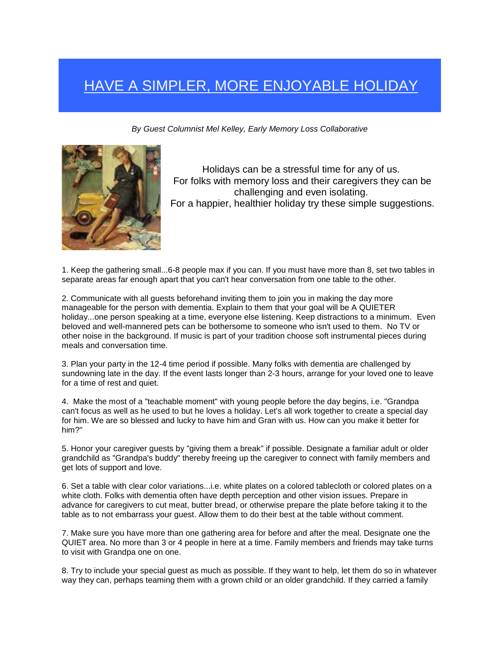## HAVE A SIMPLER, MORE ENJOYABLE HOLIDAY

*By Guest Columnist Mel Kelley, Early Memory Loss Collaborative* 



Holidays can be a stressful time for any of us. For folks with memory loss and their caregivers they can be challenging and even isolating. For a happier, healthier holiday try these simple suggestions.

1. Keep the gathering small...6-8 people max if you can. If you must have more than 8, set two tables in separate areas far enough apart that you can't hear conversation from one table to the other.

2. Communicate with all guests beforehand inviting them to join you in making the day more manageable for the person with dementia. Explain to them that your goal will be A QUIETER holiday...one person speaking at a time, everyone else listening. Keep distractions to a minimum. Even beloved and well-mannered pets can be bothersome to someone who isn't used to them. No TV or other noise in the background. If music is part of your tradition choose soft instrumental pieces during meals and conversation time.

3. Plan your party in the 12-4 time period if possible. Many folks with dementia are challenged by sundowning late in the day. If the event lasts longer than 2-3 hours, arrange for your loved one to leave for a time of rest and quiet.

4. Make the most of a "teachable moment" with young people before the day begins, i.e. "Grandpa can't focus as well as he used to but he loves a holiday. Let's all work together to create a special day for him. We are so blessed and lucky to have him and Gran with us. How can you make it better for him?"

5. Honor your caregiver guests by "giving them a break" if possible. Designate a familiar adult or older grandchild as "Grandpa's buddy" thereby freeing up the caregiver to connect with family members and get lots of support and love.

6. Set a table with clear color variations...i.e. white plates on a colored tablecloth or colored plates on a white cloth. Folks with dementia often have depth perception and other vision issues. Prepare in advance for caregivers to cut meat, butter bread, or otherwise prepare the plate before taking it to the table as to not embarrass your guest. Allow them to do their best at the table without comment.

7. Make sure you have more than one gathering area for before and after the meal. Designate one the QUIET area. No more than 3 or 4 people in here at a time. Family members and friends may take turns to visit with Grandpa one on one.

8. Try to include your special guest as much as possible. If they want to help, let them do so in whatever way they can, perhaps teaming them with a grown child or an older grandchild. If they carried a family